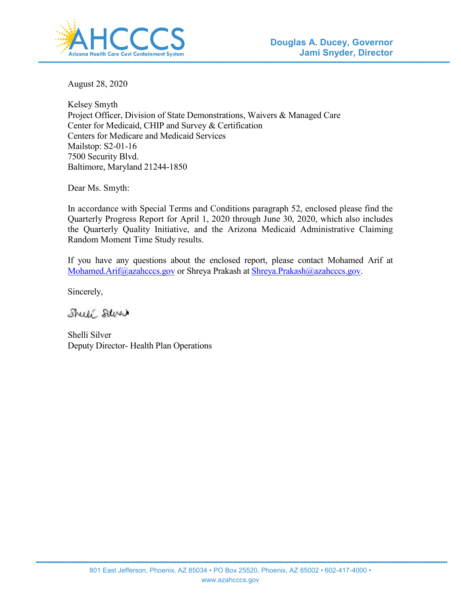

August 28, 2020

Kelsey Smyth Project Officer, Division of State Demonstrations, Waivers & Managed Care Center for Medicaid, CHIP and Survey & Certification Centers for Medicare and Medicaid Services Mailstop: S2-01-16 7500 Security Blvd. Baltimore, Maryland 21244-1850

Dear Ms. Smyth:

In accordance with Special Terms and Conditions paragraph 52, enclosed please find the Quarterly Progress Report for April 1, 2020 through June 30, 2020, which also includes the Quarterly Quality Initiative, and the Arizona Medicaid Administrative Claiming Random Moment Time Study results.

If you have any questions about the enclosed report, please contact Mohamed Arif at [Mohamed.Arif@azahcccs.gov](mailto:Mohamed.Arif@azahcccs.gov) or Shreya Prakash at [Shreya.Prakash@azahcccs.gov.](mailto:Shreya.Prakash@azahcccs.gov)

Sincerely,

Sheel Salve

Shelli Silver Deputy Director- Health Plan Operations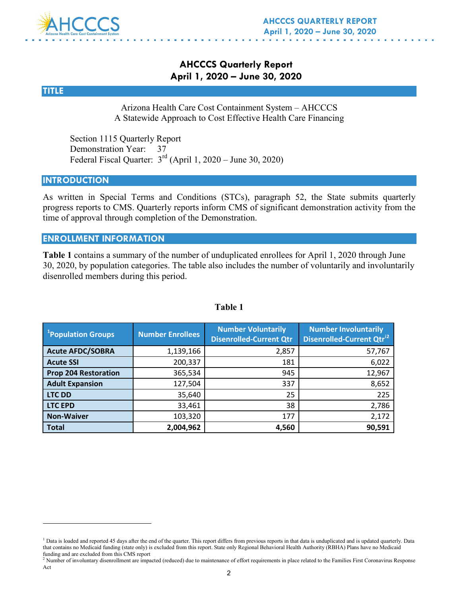

# **AHCCCS Quarterly Report April 1, 2020 – June 30, 2020**

#### **TITLE**

 $\overline{a}$ 

Arizona Health Care Cost Containment System – AHCCCS A Statewide Approach to Cost Effective Health Care Financing

Section 1115 Quarterly Report Demonstration Year: 37 Federal Fiscal Quarter: 3rd (April 1, 2020 – June 30, 2020)

#### **INTRODUCTION**

As written in Special Terms and Conditions (STCs), paragraph 52, the State submits quarterly progress reports to CMS. Quarterly reports inform CMS of significant demonstration activity from the time of approval through completion of the Demonstration.

#### **ENROLLMENT INFORMATION**

**Table 1** contains a summary of the number of unduplicated enrollees for April 1, 2020 through June 30, 2020, by population categories. The table also includes the number of voluntarily and involuntarily disenrolled members during this period.

| <sup>1</sup> Population Groups | <b>Number Enrollees</b> | <b>Number Voluntarily</b><br><b>Disenrolled-Current Qtr</b> | <b>Number Involuntarily</b><br><b>Disenrolled-Current Qtr<sup>12</sup></b> |
|--------------------------------|-------------------------|-------------------------------------------------------------|----------------------------------------------------------------------------|
| <b>Acute AFDC/SOBRA</b>        | 1,139,166               | 2,857                                                       | 57,767                                                                     |
| <b>Acute SSI</b>               | 200,337                 | 181                                                         | 6,022                                                                      |
| <b>Prop 204 Restoration</b>    | 365,534                 | 945                                                         | 12,967                                                                     |
| <b>Adult Expansion</b>         | 127,504                 | 337                                                         | 8,652                                                                      |
| <b>LTC DD</b>                  | 35,640                  | 25                                                          | 225                                                                        |
| <b>LTC EPD</b>                 | 33,461                  | 38                                                          | 2,786                                                                      |
| <b>Non-Waiver</b>              | 103,320                 | 177                                                         | 2,172                                                                      |
| <b>Total</b>                   | 2,004,962               | 4,560                                                       | 90,591                                                                     |

#### **Table 1**

<span id="page-1-0"></span><sup>&</sup>lt;sup>1</sup> Data is loaded and reported 45 days after the end of the quarter. This report differs from previous reports in that data is unduplicated and is updated quarterly. Data that contains no Medicaid funding (state only) is excluded from this report. State only Regional Behavioral Health Authority (RBHA) Plans have no Medicaid funding and are excluded from this CMS report

<span id="page-1-1"></span> $<sup>2</sup>$  Number of involuntary disenrollment are impacted (reduced) due to maintenance of effort requirements in place related to the Families First Coronavirus Response</sup> Act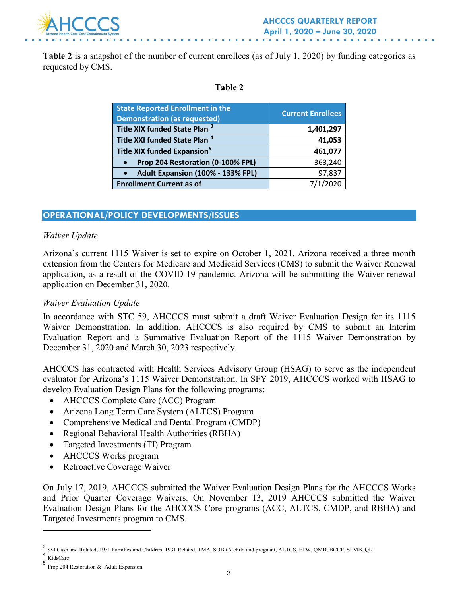

Table 2 is a snapshot of the number of current enrollees (as of July 1, 2020) by funding categories as requested by CMS.

#### **Table 2**

| <b>State Reported Enrollment in the</b><br><b>Demonstration (as requested)</b> | <b>Current Enrollees</b> |
|--------------------------------------------------------------------------------|--------------------------|
| Title XIX funded State Plan <sup>3</sup>                                       | 1,401,297                |
| Title XXI funded State Plan <sup>4</sup>                                       | 41,053                   |
| Title XIX funded Expansion <sup>5</sup>                                        | 461,077                  |
| Prop 204 Restoration (0-100% FPL)                                              | 363,240                  |
| Adult Expansion (100% - 133% FPL)                                              | 97,837                   |
| <b>Enrollment Current as of</b>                                                | 7/1/2020                 |

# **OPERATIONAL/POLICY DEVELOPMENTS/ISSUES**

#### *Waiver Update*

Arizona's current 1115 Waiver is set to expire on October 1, 2021. Arizona received a three month extension from the Centers for Medicare and Medicaid Services (CMS) to submit the Waiver Renewal application, as a result of the COVID-19 pandemic. Arizona will be submitting the Waiver renewal application on December 31, 2020.

#### *Waiver Evaluation Update*

In accordance with STC 59, AHCCCS must submit a draft Waiver Evaluation Design for its 1115 Waiver Demonstration. In addition, AHCCCS is also required by CMS to submit an Interim Evaluation Report and a Summative Evaluation Report of the 1115 Waiver Demonstration by December 31, 2020 and March 30, 2023 respectively.

AHCCCS has contracted with Health Services Advisory Group (HSAG) to serve as the independent evaluator for Arizona's 1115 Waiver Demonstration. In SFY 2019, AHCCCS worked with HSAG to develop Evaluation Design Plans for the following programs:

- AHCCCS Complete Care (ACC) Program
- Arizona Long Term Care System (ALTCS) Program
- Comprehensive Medical and Dental Program (CMDP)
- Regional Behavioral Health Authorities (RBHA)
- Targeted Investments (TI) Program
- AHCCCS Works program
- Retroactive Coverage Waiver

On July 17, 2019, AHCCCS submitted the Waiver Evaluation Design Plans for the AHCCCS Works and Prior Quarter Coverage Waivers. On November 13, 2019 AHCCCS submitted the Waiver Evaluation Design Plans for the AHCCCS Core programs (ACC, ALTCS, CMDP, and RBHA) and Targeted Investments program to CMS.

 $\overline{a}$ 

<span id="page-2-0"></span><sup>3</sup> SSI Cash and Related, 1931 Families and Children, 1931 Related, TMA, SOBRA child and pregnant, ALTCS, FTW, QMB, BCCP, SLMB, QI-1

<span id="page-2-1"></span><sup>4</sup> KidsCare

<span id="page-2-2"></span><sup>5</sup> Prop 204 Restoration & Adult Expansion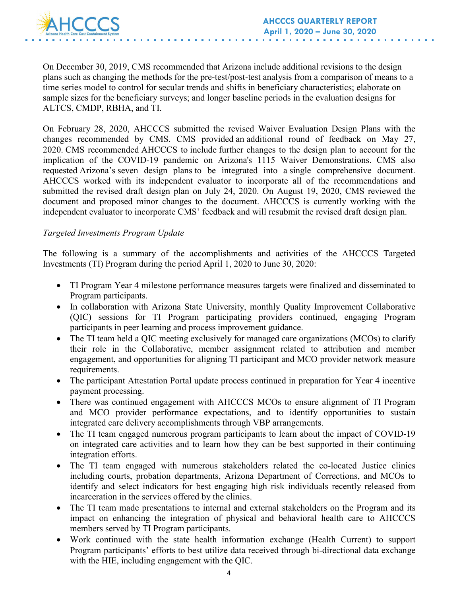

On December 30, 2019, CMS recommended that Arizona include additional revisions to the design plans such as changing the methods for the pre-test/post-test analysis from a comparison of means to a time series model to control for secular trends and shifts in beneficiary characteristics; elaborate on sample sizes for the beneficiary surveys; and longer baseline periods in the evaluation designs for ALTCS, CMDP, RBHA, and TI.

On February 28, 2020, AHCCCS submitted the revised Waiver Evaluation Design Plans with the changes recommended by CMS. CMS provided an additional round of feedback on May 27, 2020. CMS recommended AHCCCS to include further changes to the design plan to account for the implication of the COVID-19 pandemic on Arizona's 1115 Waiver Demonstrations. CMS also requested Arizona's seven design plans to be integrated into a single comprehensive document. AHCCCS worked with its independent evaluator to incorporate all of the recommendations and submitted the revised draft design plan on July 24, 2020. On August 19, 2020, CMS reviewed the document and proposed minor changes to the document. AHCCCS is currently working with the independent evaluator to incorporate CMS' feedback and will resubmit the revised draft design plan.

#### *Targeted Investments Program Update*

The following is a summary of the accomplishments and activities of the AHCCCS Targeted Investments (TI) Program during the period April 1, 2020 to June 30, 2020:

- TI Program Year 4 milestone performance measures targets were finalized and disseminated to Program participants.
- In collaboration with Arizona State University, monthly Quality Improvement Collaborative (QIC) sessions for TI Program participating providers continued, engaging Program participants in peer learning and process improvement guidance.
- The TI team held a QIC meeting exclusively for managed care organizations (MCOs) to clarify their role in the Collaborative, member assignment related to attribution and member engagement, and opportunities for aligning TI participant and MCO provider network measure requirements.
- The participant Attestation Portal update process continued in preparation for Year 4 incentive payment processing.
- There was continued engagement with AHCCCS MCOs to ensure alignment of TI Program and MCO provider performance expectations, and to identify opportunities to sustain integrated care delivery accomplishments through VBP arrangements.
- The TI team engaged numerous program participants to learn about the impact of COVID-19 on integrated care activities and to learn how they can be best supported in their continuing integration efforts.
- The TI team engaged with numerous stakeholders related the co-located Justice clinics including courts, probation departments, Arizona Department of Corrections, and MCOs to identify and select indicators for best engaging high risk individuals recently released from incarceration in the services offered by the clinics.
- The TI team made presentations to internal and external stakeholders on the Program and its impact on enhancing the integration of physical and behavioral health care to AHCCCS members served by TI Program participants.
- Work continued with the state health information exchange (Health Current) to support Program participants' efforts to best utilize data received through bi-directional data exchange with the HIE, including engagement with the QIC.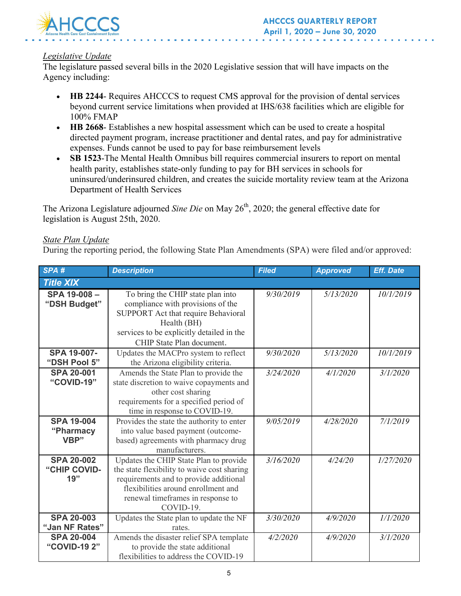

# *Legislative Update*

The legislature passed several bills in the 2020 Legislative session that will have impacts on the Agency including:

- **HB 2244-** Requires AHCCCS to request CMS approval for the provision of dental services beyond current service limitations when provided at IHS/638 facilities which are eligible for 100% FMAP
- **HB 2668** Establishes a new hospital assessment which can be used to create a hospital directed payment program, increase practitioner and dental rates, and pay for administrative expenses. Funds cannot be used to pay for base reimbursement levels
- **SB 1523**-The Mental Health Omnibus bill requires commercial insurers to report on mental health parity, establishes state-only funding to pay for BH services in schools for uninsured/underinsured children, and creates the suicide mortality review team at the Arizona Department of Health Services

The Arizona Legislature adjourned *Sine Die* on May 26<sup>th</sup>, 2020; the general effective date for legislation is August 25th, 2020.

## *State Plan Update*

During the reporting period, the following State Plan Amendments (SPA) were filed and/or approved:

| SPA#                                     | <b>Description</b>                                                                                                                                                                                                       | <b>Filed</b> | <b>Approved</b> | <b>Eff. Date</b> |
|------------------------------------------|--------------------------------------------------------------------------------------------------------------------------------------------------------------------------------------------------------------------------|--------------|-----------------|------------------|
| <b>Title XIX</b>                         |                                                                                                                                                                                                                          |              |                 |                  |
| SPA 19-008-<br>"DSH Budget"              | To bring the CHIP state plan into<br>compliance with provisions of the<br>SUPPORT Act that require Behavioral<br>Health (BH)<br>services to be explicitly detailed in the<br>CHIP State Plan document.                   | 9/30/2019    | 5/13/2020       | 10/1/2019        |
| <b>SPA 19-007-</b><br>"DSH Pool 5"       | Updates the MACPro system to reflect<br>the Arizona eligibility criteria.                                                                                                                                                | 9/30/2020    | 5/13/2020       | 10/1/2019        |
| <b>SPA 20-001</b><br>"COVID-19"          | Amends the State Plan to provide the<br>state discretion to waive copayments and<br>other cost sharing<br>requirements for a specified period of<br>time in response to COVID-19.                                        | 3/24/2020    | 4/1/2020        | 3/1/2020         |
| <b>SPA 19-004</b><br>"Pharmacy<br>VBP"   | Provides the state the authority to enter<br>into value based payment (outcome-<br>based) agreements with pharmacy drug<br>manufacturers.                                                                                | 9/05/2019    | 4/28/2020       | 7/1/2019         |
| <b>SPA 20-002</b><br>"CHIP COVID-<br>19" | Updates the CHIP State Plan to provide<br>the state flexibility to waive cost sharing<br>requirements and to provide additional<br>flexibilities around enrollment and<br>renewal timeframes in response to<br>COVID-19. | 3/16/2020    | 4/24/20         | 1/27/2020        |
| <b>SPA 20-003</b><br>"Jan NF Rates"      | Updates the State plan to update the NF<br>rates.                                                                                                                                                                        | 3/30/2020    | 4/9/2020        | 1/1/2020         |
| <b>SPA 20-004</b><br>"COVID-19 2"        | Amends the disaster relief SPA template<br>to provide the state additional<br>flexibilities to address the COVID-19                                                                                                      | 4/2/2020     | 4/9/2020        | 3/1/2020         |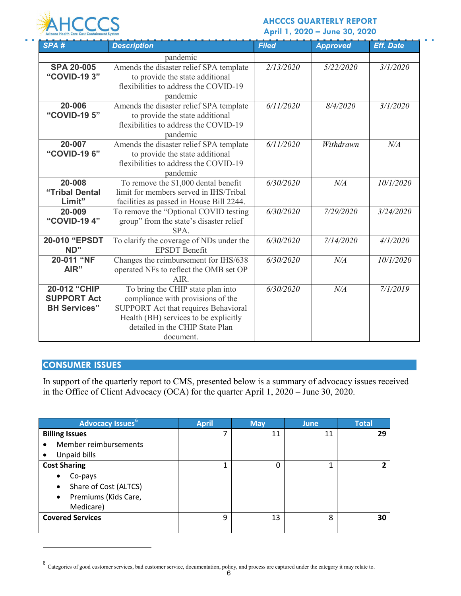

#### **AHCCCS QUARTERLY REPORT April 1, 2020 – June 30, 2020**

a la

| SPA#                | <b>Description</b>                       | <b>Filed</b> | <b>Approved</b> | <b>Eff. Date</b> |
|---------------------|------------------------------------------|--------------|-----------------|------------------|
|                     | pandemic                                 |              |                 |                  |
| <b>SPA 20-005</b>   | Amends the disaster relief SPA template  | 2/13/2020    | 5/22/2020       | 3/1/2020         |
| "COVID-19 3"        | to provide the state additional          |              |                 |                  |
|                     | flexibilities to address the COVID-19    |              |                 |                  |
|                     | pandemic                                 |              |                 |                  |
| 20-006              | Amends the disaster relief SPA template  | 6/11/2020    | 8/4/2020        | 3/1/2020         |
| "COVID-19 5"        | to provide the state additional          |              |                 |                  |
|                     | flexibilities to address the COVID-19    |              |                 |                  |
|                     | pandemic                                 |              |                 |                  |
| 20-007              | Amends the disaster relief SPA template  | 6/11/2020    | Withdrawn       | $N\!/\!A$        |
| "COVID-19 6"        | to provide the state additional          |              |                 |                  |
|                     | flexibilities to address the COVID-19    |              |                 |                  |
|                     | pandemic                                 |              |                 |                  |
| 20-008              | To remove the \$1,000 dental benefit     | 6/30/2020    | N/A             | 10/1/2020        |
| "Tribal Dental      | limit for members served in IHS/Tribal   |              |                 |                  |
| Limit"              | facilities as passed in House Bill 2244. |              |                 |                  |
| 20-009              | To remove the "Optional COVID testing    | 6/30/2020    | 7/29/2020       | 3/24/2020        |
| "COVID-19 4"        | group" from the state's disaster relief  |              |                 |                  |
|                     | SPA.                                     |              |                 |                  |
| 20-010 "EPSDT       | To clarify the coverage of NDs under the | 6/30/2020    | 7/14/2020       | 4/1/2020         |
| ND"                 | <b>EPSDT</b> Benefit                     |              |                 |                  |
| 20-011 "NF          | Changes the reimbursement for IHS/638    | 6/30/2020    | N/A             | 10/1/2020        |
| AIR"                | operated NFs to reflect the OMB set OP   |              |                 |                  |
|                     | $AIR$ .                                  |              |                 |                  |
| 20-012 "CHIP        | To bring the CHIP state plan into        | 6/30/2020    | N/A             | 7/1/2019         |
| <b>SUPPORT Act</b>  | compliance with provisions of the        |              |                 |                  |
| <b>BH Services"</b> | SUPPORT Act that requires Behavioral     |              |                 |                  |
|                     | Health (BH) services to be explicitly    |              |                 |                  |
|                     | detailed in the CHIP State Plan          |              |                 |                  |
|                     | document.                                |              |                 |                  |

# **CONSUMER ISSUES**

 $\overline{a}$ 

In support of the quarterly report to CMS, presented below is a summary of advocacy issues received in the Office of Client Advocacy (OCA) for the quarter April 1, 2020 – June 30, 2020.

| Advocacy Issues <sup>6</sup>      | <b>April</b> | <b>May</b> | <b>June</b> | <b>Total</b> |
|-----------------------------------|--------------|------------|-------------|--------------|
| <b>Billing Issues</b>             |              | 11         | 11          | 29           |
| Member reimbursements             |              |            |             |              |
| Unpaid bills                      |              |            |             |              |
| <b>Cost Sharing</b>               |              | 0          |             | ר            |
| Co-pays<br>$\bullet$              |              |            |             |              |
| Share of Cost (ALTCS)<br>٠        |              |            |             |              |
| Premiums (Kids Care,<br>$\bullet$ |              |            |             |              |
| Medicare)                         |              |            |             |              |
| <b>Covered Services</b>           | q            | 13         | 8           | 30           |
|                                   |              |            |             |              |

<span id="page-5-0"></span> $^6$  Categories of good customer services, bad customer service, documentation, policy, and process are captured under the category it may relate to.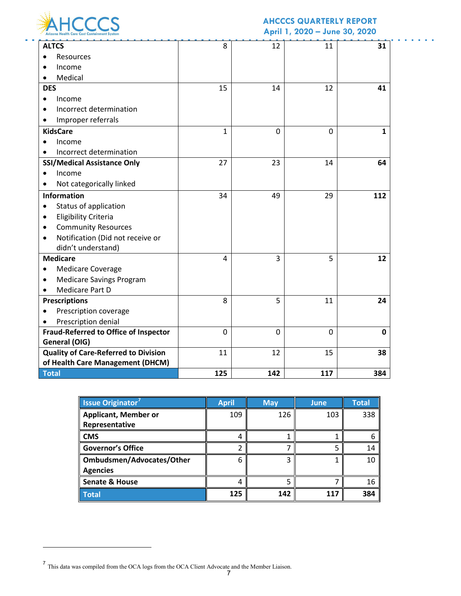

# **AHCCCS QUARTERLY REPORT**

a series and

**April 1, 2020 – June 30, 2020**

| <b>ALTCS</b>                                 | 8            | 12  | 11       | 31           |
|----------------------------------------------|--------------|-----|----------|--------------|
| Resources                                    |              |     |          |              |
| Income                                       |              |     |          |              |
| Medical                                      |              |     |          |              |
| <b>DES</b>                                   | 15           | 14  | 12       | 41           |
| Income                                       |              |     |          |              |
| Incorrect determination                      |              |     |          |              |
| Improper referrals                           |              |     |          |              |
| <b>KidsCare</b>                              | $\mathbf{1}$ | 0   | $\Omega$ | $\mathbf{1}$ |
| Income                                       |              |     |          |              |
| Incorrect determination                      |              |     |          |              |
| <b>SSI/Medical Assistance Only</b>           | 27           | 23  | 14       | 64           |
| Income                                       |              |     |          |              |
| Not categorically linked                     |              |     |          |              |
| <b>Information</b>                           | 34           | 49  | 29       | 112          |
| Status of application                        |              |     |          |              |
| <b>Eligibility Criteria</b>                  |              |     |          |              |
| <b>Community Resources</b>                   |              |     |          |              |
| Notification (Did not receive or             |              |     |          |              |
| didn't understand)                           |              |     |          |              |
| <b>Medicare</b>                              | 4            | 3   | 5        | 12           |
| <b>Medicare Coverage</b>                     |              |     |          |              |
| <b>Medicare Savings Program</b>              |              |     |          |              |
| <b>Medicare Part D</b>                       |              |     |          |              |
| <b>Prescriptions</b>                         | 8            | 5   | 11       | 24           |
| Prescription coverage                        |              |     |          |              |
| Prescription denial                          |              |     |          |              |
| <b>Fraud-Referred to Office of Inspector</b> | 0            | 0   | $\Omega$ | 0            |
| General (OIG)                                |              |     |          |              |
| <b>Quality of Care-Referred to Division</b>  | 11           | 12  | 15       | 38           |
| of Health Care Management (DHCM)             |              |     |          |              |
| <b>Total</b>                                 | 125          | 142 | 117      | 384          |

| <b>Issue Originator</b>     | <b>April</b> | <b>May</b> | June | Total |
|-----------------------------|--------------|------------|------|-------|
| <b>Applicant, Member or</b> | 109          | 126        | 103  | 338   |
| Representative              |              |            |      |       |
| <b>CMS</b>                  | 4            |            |      | 6     |
| <b>Governor's Office</b>    |              |            |      | 14    |
| Ombudsmen/Advocates/Other   | 6            |            |      | 10    |
| <b>Agencies</b>             |              |            |      |       |
| <b>Senate &amp; House</b>   | 4            |            |      | 16    |
| <b>Total</b>                | 125          | 142        | 117  | 384   |

 $\overline{a}$ 

<span id="page-6-0"></span> $<sup>7</sup>$  This data was compiled from the OCA logs from the OCA Client Advocate and the Member Liaison.</sup>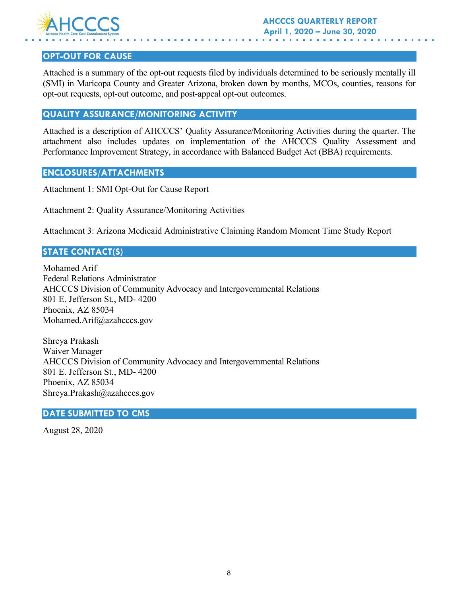

# **OPT-OUT FOR CAUSE**

Attached is a summary of the opt-out requests filed by individuals determined to be seriously mentally ill (SMI) in Maricopa County and Greater Arizona, broken down by months, MCOs, counties, reasons for opt-out requests, opt-out outcome, and post-appeal opt-out outcomes.

## **QUALITY ASSURANCE/MONITORING ACTIVITY**

Attached is a description of AHCCCS' Quality Assurance/Monitoring Activities during the quarter. The attachment also includes updates on implementation of the AHCCCS Quality Assessment and Performance Improvement Strategy, in accordance with Balanced Budget Act (BBA) requirements.

## **ENCLOSURES/ATTACHMENTS**

Attachment 1: SMI Opt-Out for Cause Report

Attachment 2: Quality Assurance/Monitoring Activities

Attachment 3: Arizona Medicaid Administrative Claiming Random Moment Time Study Report

# **STATE CONTACT(S)**

Mohamed Arif Federal Relations Administrator AHCCCS Division of Community Advocacy and Intergovernmental Relations 801 E. Jefferson St., MD- 4200 Phoenix, AZ 85034 Mohamed.Arif@azahcccs.gov

Shreya Prakash Waiver Manager AHCCCS Division of Community Advocacy and Intergovernmental Relations 801 E. Jefferson St., MD- 4200 Phoenix, AZ 85034 Shreya.Prakash@azahcccs.gov

#### **DATE SUBMITTED TO CMS**

August 28, 2020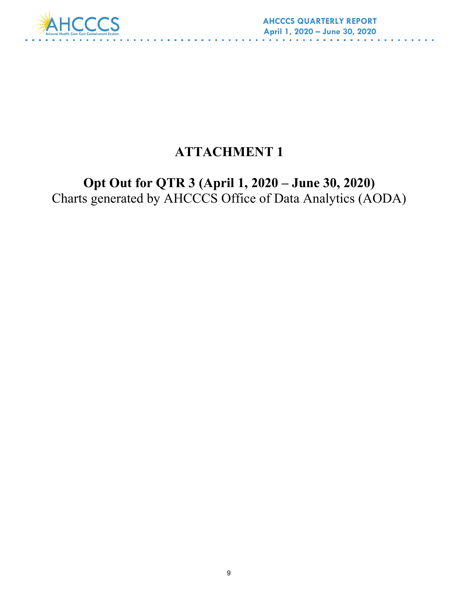

# **ATTACHMENT 1**

**Opt Out for QTR 3 (April 1, 2020 – June 30, 2020)** Charts generated by AHCCCS Office of Data Analytics (AODA)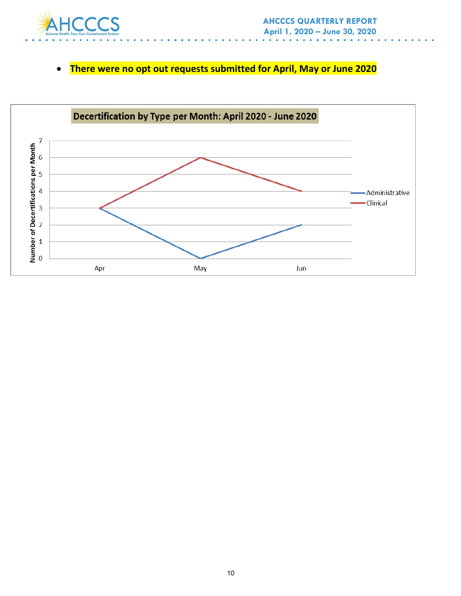

# • **There were no opt out requests submitted for April, May or June 2020**

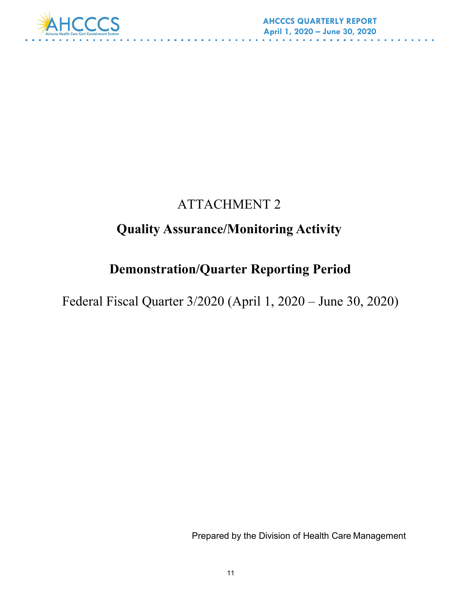

# ATTACHMENT 2

# **Quality Assurance/Monitoring Activity**

# **Demonstration/Quarter Reporting Period**

Federal Fiscal Quarter 3/2020 (April 1, 2020 – June 30, 2020)

Prepared by the Division of Health Care Management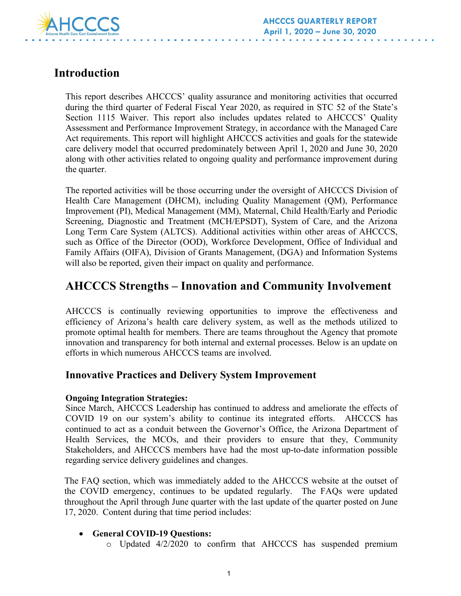

# **Introduction**

This report describes AHCCCS' quality assurance and monitoring activities that occurred during the third quarter of Federal Fiscal Year 2020, as required in STC 52 of the State's Section 1115 Waiver. This report also includes updates related to AHCCCS' Quality Assessment and Performance Improvement Strategy, in accordance with the Managed Care Act requirements. This report will highlight AHCCCS activities and goals for the statewide care delivery model that occurred predominately between April 1, 2020 and June 30, 2020 along with other activities related to ongoing quality and performance improvement during the quarter.

The reported activities will be those occurring under the oversight of AHCCCS Division of Health Care Management (DHCM), including Quality Management (QM), Performance Improvement (PI), Medical Management (MM), Maternal, Child Health/Early and Periodic Screening, Diagnostic and Treatment (MCH/EPSDT), System of Care, and the Arizona Long Term Care System (ALTCS). Additional activities within other areas of AHCCCS, such as Office of the Director (OOD), Workforce Development, Office of Individual and Family Affairs (OIFA), Division of Grants Management, (DGA) and Information Systems will also be reported, given their impact on quality and performance.

# <span id="page-11-0"></span>**AHCCCS Strengths – Innovation and Community Involvement**

AHCCCS is continually reviewing opportunities to improve the effectiveness and efficiency of Arizona's health care delivery system, as well as the methods utilized to promote optimal health for members. There are teams throughout the Agency that promote innovation and transparency for both internal and external processes. Below is an update on efforts in which numerous AHCCCS teams are involved.

# **Innovative Practices and Delivery System Improvement**

## **Ongoing Integration Strategies:**

Since March, AHCCCS Leadership has continued to address and ameliorate the effects of COVID 19 on our system's ability to continue its integrated efforts. AHCCCS has continued to act as a conduit between the Governor's Office, the Arizona Department of Health Services, the MCOs, and their providers to ensure that they, Community Stakeholders, and AHCCCS members have had the most up-to-date information possible regarding service delivery guidelines and changes.

The FAQ section, which was immediately added to the AHCCCS website at the outset of the COVID emergency, continues to be updated regularly. The FAQs were updated throughout the April through June quarter with the last update of the quarter posted on June 17, 2020. Content during that time period includes:

## • **General COVID-19 Questions:**

o Updated 4/2/2020 to confirm that AHCCCS has suspended premium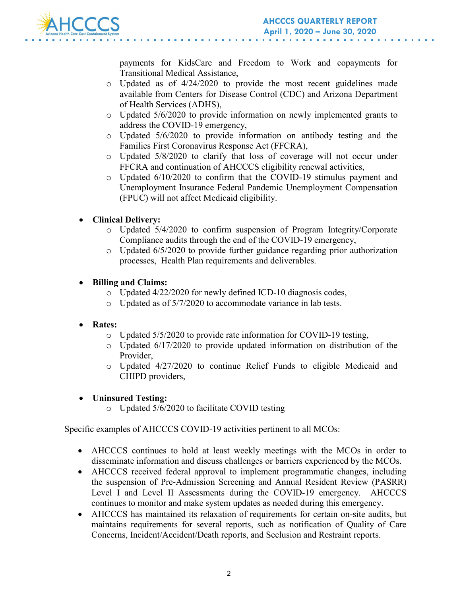

payments for KidsCare and Freedom to Work and copayments for Transitional Medical Assistance,

- o Updated as of 4/24/2020 to provide the most recent guidelines made available from Centers for Disease Control (CDC) and Arizona Department of Health Services (ADHS),
- $\circ$  Updated 5/6/2020 to provide information on newly implemented grants to address the COVID-19 emergency,
- o Updated 5/6/2020 to provide information on antibody testing and the Families First Coronavirus Response Act (FFCRA),
- o Updated 5/8/2020 to clarify that loss of coverage will not occur under FFCRA and continuation of AHCCCS eligibility renewal activities,
- o Updated 6/10/2020 to confirm that the COVID-19 stimulus payment and Unemployment Insurance Federal Pandemic Unemployment Compensation (FPUC) will not affect Medicaid eligibility.

# • **Clinical Delivery:**

- o Updated 5/4/2020 to confirm suspension of Program Integrity/Corporate Compliance audits through the end of the COVID-19 emergency,
- o Updated 6/5/2020 to provide further guidance regarding prior authorization processes, Health Plan requirements and deliverables.

# • **Billing and Claims:**

- o Updated 4/22/2020 for newly defined ICD-10 diagnosis codes,
- o Updated as of 5/7/2020 to accommodate variance in lab tests.

# • **Rates:**

- o Updated 5/5/2020 to provide rate information for COVID-19 testing,
- $\circ$  Updated 6/17/2020 to provide updated information on distribution of the Provider,
- o Updated 4/27/2020 to continue Relief Funds to eligible Medicaid and CHIPD providers,
- **Uninsured Testing:** 
	- o Updated 5/6/2020 to facilitate COVID testing

Specific examples of AHCCCS COVID-19 activities pertinent to all MCOs:

- AHCCCS continues to hold at least weekly meetings with the MCOs in order to disseminate information and discuss challenges or barriers experienced by the MCOs.
- AHCCCS received federal approval to implement programmatic changes, including the suspension of Pre-Admission Screening and Annual Resident Review (PASRR) Level I and Level II Assessments during the COVID-19 emergency. AHCCCS continues to monitor and make system updates as needed during this emergency.
- AHCCCS has maintained its relaxation of requirements for certain on-site audits, but maintains requirements for several reports, such as notification of Quality of Care Concerns, Incident/Accident/Death reports, and Seclusion and Restraint reports.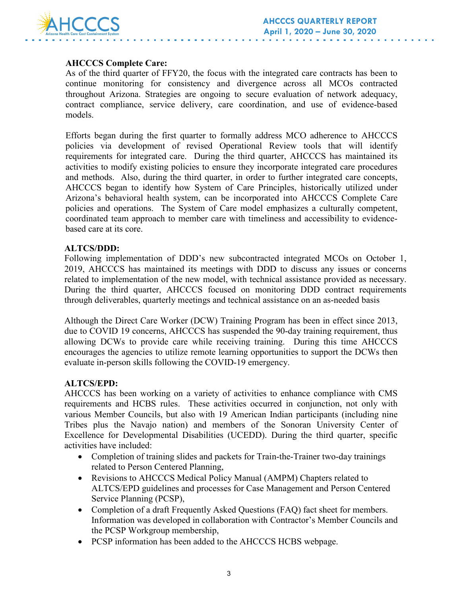

# **AHCCCS Complete Care:**

As of the third quarter of FFY20, the focus with the integrated care contracts has been to continue monitoring for consistency and divergence across all MCOs contracted throughout Arizona. Strategies are ongoing to secure evaluation of network adequacy, contract compliance, service delivery, care coordination, and use of evidence-based models.

Efforts began during the first quarter to formally address MCO adherence to AHCCCS policies via development of revised Operational Review tools that will identify requirements for integrated care. During the third quarter, AHCCCS has maintained its activities to modify existing policies to ensure they incorporate integrated care procedures and methods. Also, during the third quarter, in order to further integrated care concepts, AHCCCS began to identify how System of Care Principles, historically utilized under Arizona's behavioral health system, can be incorporated into AHCCCS Complete Care policies and operations. The System of Care model emphasizes a culturally competent, coordinated team approach to member care with timeliness and accessibility to evidencebased care at its core.

#### **ALTCS/DDD:**

Following implementation of DDD's new subcontracted integrated MCOs on October 1, 2019, AHCCCS has maintained its meetings with DDD to discuss any issues or concerns related to implementation of the new model, with technical assistance provided as necessary. During the third quarter, AHCCCS focused on monitoring DDD contract requirements through deliverables, quarterly meetings and technical assistance on an as-needed basis

Although the Direct Care Worker (DCW) Training Program has been in effect since 2013, due to COVID 19 concerns, AHCCCS has suspended the 90-day training requirement, thus allowing DCWs to provide care while receiving training. During this time AHCCCS encourages the agencies to utilize remote learning opportunities to support the DCWs then evaluate in-person skills following the COVID-19 emergency.

## **ALTCS/EPD:**

AHCCCS has been working on a variety of activities to enhance compliance with CMS requirements and HCBS rules. These activities occurred in conjunction, not only with various Member Councils, but also with 19 American Indian participants (including nine Tribes plus the Navajo nation) and members of the Sonoran University Center of Excellence for Developmental Disabilities (UCEDD). During the third quarter, specific activities have included:

- Completion of training slides and packets for Train-the-Trainer two-day trainings related to Person Centered Planning,
- Revisions to AHCCCS Medical Policy Manual (AMPM) Chapters related to ALTCS/EPD guidelines and processes for Case Management and Person Centered Service Planning (PCSP),
- Completion of a draft Frequently Asked Questions (FAQ) fact sheet for members. Information was developed in collaboration with Contractor's Member Councils and the PCSP Workgroup membership,
- PCSP information has been added to the AHCCCS HCBS webpage.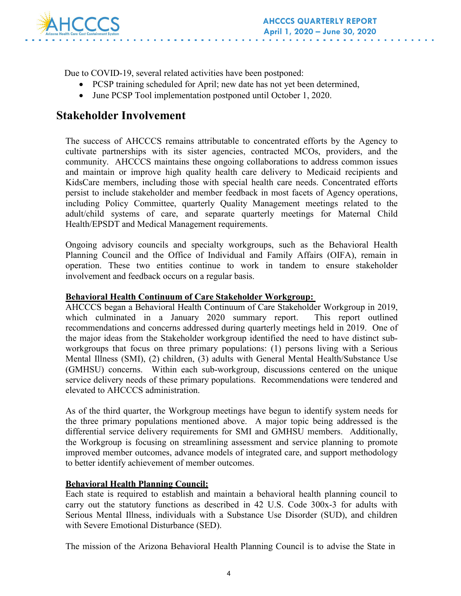

Due to COVID-19, several related activities have been postponed:

- PCSP training scheduled for April; new date has not yet been determined,
- June PCSP Tool implementation postponed until October 1, 2020.

# **Stakeholder Involvement**

The success of AHCCCS remains attributable to concentrated efforts by the Agency to cultivate partnerships with its sister agencies, contracted MCOs, providers, and the community. AHCCCS maintains these ongoing collaborations to address common issues and maintain or improve high quality health care delivery to Medicaid recipients and KidsCare members, including those with special health care needs. Concentrated efforts persist to include stakeholder and member feedback in most facets of Agency operations, including Policy Committee, quarterly Quality Management meetings related to the adult/child systems of care, and separate quarterly meetings for Maternal Child Health/EPSDT and Medical Management requirements.

Ongoing advisory councils and specialty workgroups, such as the Behavioral Health Planning Council and the Office of Individual and Family Affairs (OIFA), remain in operation. These two entities continue to work in tandem to ensure stakeholder involvement and feedback occurs on a regular basis.

# **Behavioral Health Continuum of Care Stakeholder Workgroup:**

AHCCCS began a Behavioral Health Continuum of Care Stakeholder Workgroup in 2019, which culminated in a January 2020 summary report. This report outlined recommendations and concerns addressed during quarterly meetings held in 2019. One of the major ideas from the Stakeholder workgroup identified the need to have distinct subworkgroups that focus on three primary populations: (1) persons living with a Serious Mental Illness (SMI), (2) children, (3) adults with General Mental Health/Substance Use (GMHSU) concerns. Within each sub-workgroup, discussions centered on the unique service delivery needs of these primary populations. Recommendations were tendered and elevated to AHCCCS administration.

As of the third quarter, the Workgroup meetings have begun to identify system needs for the three primary populations mentioned above. A major topic being addressed is the differential service delivery requirements for SMI and GMHSU members. Additionally, the Workgroup is focusing on streamlining assessment and service planning to promote improved member outcomes, advance models of integrated care, and support methodology to better identify achievement of member outcomes.

# **Behavioral Health Planning Council:**

Each state is required to establish and maintain a behavioral health planning council to carry out the statutory functions as described in 42 U.S. Code 300x-3 for adults with Serious Mental Illness, individuals with a Substance Use Disorder (SUD), and children with Severe Emotional Disturbance (SED).

The mission of the Arizona Behavioral Health Planning Council is to advise the State in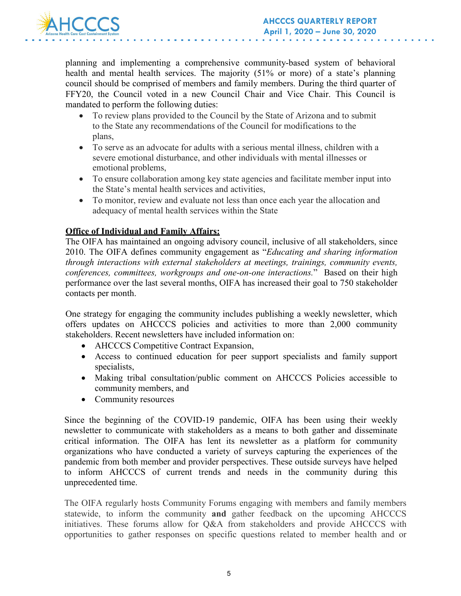

planning and implementing a comprehensive community-based system of behavioral health and mental health services. The majority (51% or more) of a state's planning council should be comprised of members and family members. During the third quarter of FFY20, the Council voted in a new Council Chair and Vice Chair. This Council is mandated to perform the following duties:

- To review plans provided to the Council by the State of Arizona and to submit to the State any recommendations of the Council for modifications to the plans,
- To serve as an advocate for adults with a serious mental illness, children with a severe emotional disturbance, and other individuals with mental illnesses or emotional problems,
- To ensure collaboration among key state agencies and facilitate member input into the State's mental health services and activities,
- To monitor, review and evaluate not less than once each year the allocation and adequacy of mental health services within the State

# **Office of Individual and Family Affairs:**

The OIFA has maintained an ongoing advisory council, inclusive of all stakeholders, since 2010. The OIFA defines community engagement as "*Educating and sharing information through interactions with external stakeholders at meetings, trainings, community events, conferences, committees, workgroups and one-on-one interactions.*" Based on their high performance over the last several months, OIFA has increased their goal to 750 stakeholder contacts per month.

One strategy for engaging the community includes publishing a weekly newsletter, which offers updates on AHCCCS policies and activities to more than 2,000 community stakeholders. Recent newsletters have included information on:

- AHCCCS Competitive Contract Expansion,
- Access to continued education for peer support specialists and family support specialists,
- Making tribal consultation/public comment on AHCCCS Policies accessible to community members, and
- Community resources

Since the beginning of the COVID-19 pandemic, OIFA has been using their weekly newsletter to communicate with stakeholders as a means to both gather and disseminate critical information. The OIFA has lent its newsletter as a platform for community organizations who have conducted a variety of surveys capturing the experiences of the pandemic from both member and provider perspectives. These outside surveys have helped to inform AHCCCS of current trends and needs in the community during this unprecedented time.

The OIFA regularly hosts Community Forums engaging with members and family members statewide, to inform the community **and** gather feedback on the upcoming AHCCCS initiatives. These forums allow for Q&A from stakeholders and provide AHCCCS with opportunities to gather responses on specific questions related to member health and or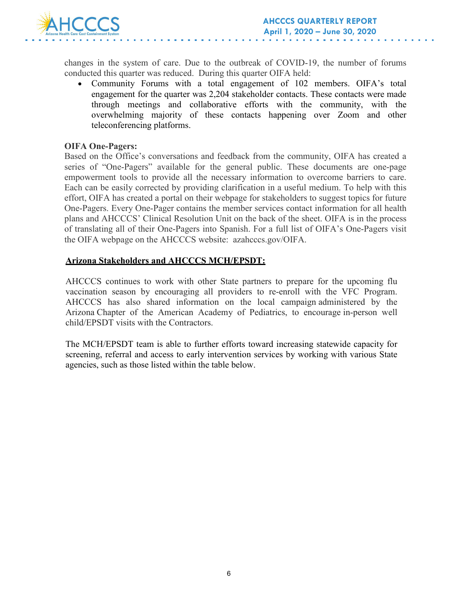

changes in the system of care. Due to the outbreak of COVID-19, the number of forums conducted this quarter was reduced. During this quarter OIFA held:

• Community Forums with a total engagement of 102 members. OIFA's total engagement for the quarter was 2,204 stakeholder contacts. These contacts were made through meetings and collaborative efforts with the community, with the overwhelming majority of these contacts happening over Zoom and other teleconferencing platforms.

#### **OIFA One-Pagers:**

Based on the Office's conversations and feedback from the community, OIFA has created a series of "One-Pagers" available for the general public. These documents are one-page empowerment tools to provide all the necessary information to overcome barriers to care. Each can be easily corrected by providing clarification in a useful medium. To help with this effort, OIFA has created a portal on their webpage for stakeholders to suggest topics for future One-Pagers. Every One-Pager contains the member services contact information for all health plans and AHCCCS' Clinical Resolution Unit on the back of the sheet. OIFA is in the process of translating all of their One-Pagers into Spanish. For a full list of OIFA's One-Pagers visit the OIFA webpage on the AHCCCS website: azahcccs.gov/OIFA.

#### **Arizona Stakeholders and AHCCCS MCH/EPSDT:**

AHCCCS continues to work with other State partners to prepare for the upcoming flu vaccination season by encouraging all providers to re-enroll with the VFC Program. AHCCCS has also shared information on the local campaign administered by the Arizona Chapter of the American Academy of Pediatrics, to encourage in-person well child/EPSDT visits with the Contractors.

The MCH/EPSDT team is able to further efforts toward increasing statewide capacity for screening, referral and access to early intervention services by working with various State agencies, such as those listed within the table below.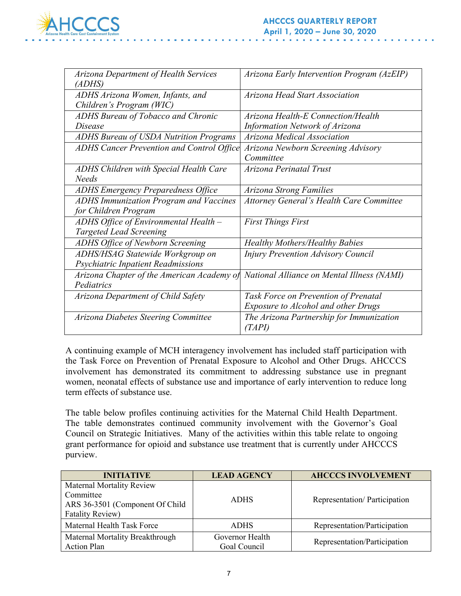

| Arizona Early Intervention Program (AzEIP)                                               |
|------------------------------------------------------------------------------------------|
|                                                                                          |
| Arizona Head Start Association                                                           |
|                                                                                          |
| Arizona Health-E Connection/Health                                                       |
| <b>Information Network of Arizona</b>                                                    |
| Arizona Medical Association                                                              |
| ADHS Cancer Prevention and Control Office<br>Arizona Newborn Screening Advisory          |
| Committee                                                                                |
| Arizona Perinatal Trust                                                                  |
|                                                                                          |
| Arizona Strong Families                                                                  |
| <b>Attorney General's Health Care Committee</b>                                          |
|                                                                                          |
| <b>First Things First</b>                                                                |
|                                                                                          |
| <b>Healthy Mothers/Healthy Babies</b>                                                    |
| <b>Injury Prevention Advisory Council</b>                                                |
|                                                                                          |
| National Alliance on Mental Illness (NAMI)<br>Arizona Chapter of the American Academy of |
|                                                                                          |
| Task Force on Prevention of Prenatal                                                     |
| <b>Exposure to Alcohol and other Drugs</b>                                               |
|                                                                                          |
| The Arizona Partnership for Immunization                                                 |
|                                                                                          |

A continuing example of MCH interagency involvement has included staff participation with the Task Force on Prevention of Prenatal Exposure to Alcohol and Other Drugs. AHCCCS involvement has demonstrated its commitment to addressing substance use in pregnant women, neonatal effects of substance use and importance of early intervention to reduce long term effects of substance use.

The table below profiles continuing activities for the Maternal Child Health Department. The table demonstrates continued community involvement with the Governor's Goal Council on Strategic Initiatives. Many of the activities within this table relate to ongoing grant performance for opioid and substance use treatment that is currently under AHCCCS purview.

| <b>INITIATIVE</b>                                                                                           | <b>LEAD AGENCY</b>              | <b>AHCCCS INVOLVEMENT</b>    |
|-------------------------------------------------------------------------------------------------------------|---------------------------------|------------------------------|
| <b>Maternal Mortality Review</b><br>Committee<br>ARS 36-3501 (Component Of Child<br><b>Fatality Review)</b> | <b>ADHS</b>                     | Representation/Participation |
| Maternal Health Task Force                                                                                  | <b>ADHS</b>                     | Representation/Participation |
| Maternal Mortality Breakthrough<br><b>Action Plan</b>                                                       | Governor Health<br>Goal Council | Representation/Participation |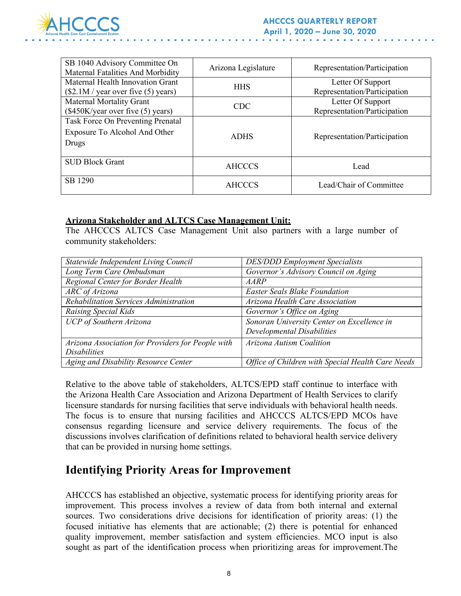

| SB 1040 Advisory Committee On<br>Maternal Fatalities And Morbidity          | Arizona Legislature | Representation/Participation                      |
|-----------------------------------------------------------------------------|---------------------|---------------------------------------------------|
| Maternal Health Innovation Grant<br>(\$2.1M / year over five (5) years)     | <b>HHS</b>          | Letter Of Support<br>Representation/Participation |
| Maternal Mortality Grant<br>$(\$450K/year$ over five $(5)$ years)           | CDC.                | Letter Of Support<br>Representation/Participation |
| Task Force On Preventing Prenatal<br>Exposure To Alcohol And Other<br>Drugs | <b>ADHS</b>         | Representation/Participation                      |
| <b>SUD Block Grant</b>                                                      | AHCCCS              | Lead                                              |
| SB 1290                                                                     | AHCCCS              | Lead/Chair of Committee                           |

#### **Arizona Stakeholder and ALTCS Case Management Unit:**

The AHCCCS ALTCS Case Management Unit also partners with a large number of community stakeholders:

| Statewide Independent Living Council              | <b>DES/DDD</b> Employment Specialists             |
|---------------------------------------------------|---------------------------------------------------|
| Long Term Care Ombudsman                          | Governor's Advisory Council on Aging              |
| Regional Center for Border Health                 | AARP                                              |
| $\overline{ARC}$ of Arizona                       | <b>Easter Seals Blake Foundation</b>              |
| Rehabilitation Services Administration            | Arizona Health Care Association                   |
| Raising Special Kids                              | Governor's Office on Aging                        |
| UCP of Southern Arizona                           | Sonoran University Center on Excellence in        |
|                                                   | Developmental Disabilities                        |
| Arizona Association for Providers for People with | Arizona Autism Coalition                          |
| <b>Disabilities</b>                               |                                                   |
| Aging and Disability Resource Center              | Office of Children with Special Health Care Needs |

Relative to the above table of stakeholders, ALTCS/EPD staff continue to interface with the Arizona Health Care Association and Arizona Department of Health Services to clarify licensure standards for nursing facilities that serve individuals with behavioral health needs. The focus is to ensure that nursing facilities and AHCCCS ALTCS/EPD MCOs have consensus regarding licensure and service delivery requirements. The focus of the discussions involves clarification of definitions related to behavioral health service delivery that can be provided in nursing home settings.

# **Identifying Priority Areas for Improvement**

AHCCCS has established an objective, systematic process for identifying priority areas for improvement. This process involves a review of data from both internal and external sources. Two considerations drive decisions for identification of priority areas: (1) the focused initiative has elements that are actionable; (2) there is potential for enhanced quality improvement, member satisfaction and system efficiencies. MCO input is also sought as part of the identification process when prioritizing areas for improvement.The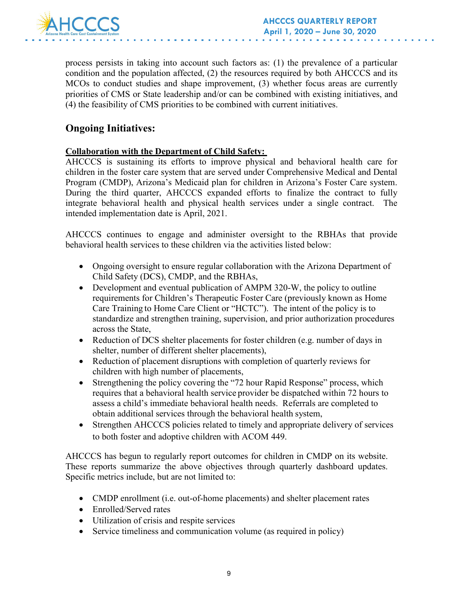

process persists in taking into account such factors as: (1) the prevalence of a particular condition and the population affected, (2) the resources required by both AHCCCS and its MCOs to conduct studies and shape improvement, (3) whether focus areas are currently priorities of CMS or State leadership and/or can be combined with existing initiatives, and (4) the feasibility of CMS priorities to be combined with current initiatives.

# **Ongoing Initiatives:**

# **Collaboration with the Department of Child Safety:**

AHCCCS is sustaining its efforts to improve physical and behavioral health care for children in the foster care system that are served under Comprehensive Medical and Dental Program (CMDP), Arizona's Medicaid plan for children in Arizona's Foster Care system. During the third quarter, AHCCCS expanded efforts to finalize the contract to fully integrate behavioral health and physical health services under a single contract. The intended implementation date is April, 2021.

AHCCCS continues to engage and administer oversight to the RBHAs that provide behavioral health services to these children via the activities listed below:

- Ongoing oversight to ensure regular collaboration with the Arizona Department of Child Safety (DCS), CMDP, and the RBHAs,
- Development and eventual publication of AMPM 320-W, the policy to outline requirements for Children's Therapeutic Foster Care (previously known as Home Care Training to Home Care Client or "HCTC"). The intent of the policy is to standardize and strengthen training, supervision, and prior authorization procedures across the State,
- Reduction of DCS shelter placements for foster children (e.g. number of days in shelter, number of different shelter placements),
- Reduction of placement disruptions with completion of quarterly reviews for children with high number of placements,
- Strengthening the policy covering the "72 hour Rapid Response" process, which requires that a behavioral health service provider be dispatched within 72 hours to assess a child's immediate behavioral health needs. Referrals are completed to obtain additional services through the behavioral health system,
- Strengthen AHCCCS policies related to timely and appropriate delivery of services to both foster and adoptive children with ACOM 449.

AHCCCS has begun to regularly report outcomes for children in CMDP on its website. These reports summarize the above objectives through quarterly dashboard updates. Specific metrics include, but are not limited to:

- CMDP enrollment (i.e. out-of-home placements) and shelter placement rates
- Enrolled/Served rates
- Utilization of crisis and respite services
- Service timeliness and communication volume (as required in policy)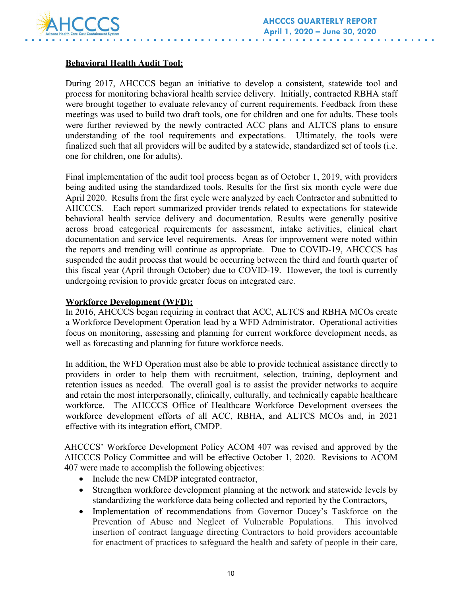

# **Behavioral Health Audit Tool:**

During 2017, AHCCCS began an initiative to develop a consistent, statewide tool and process for monitoring behavioral health service delivery. Initially, contracted RBHA staff were brought together to evaluate relevancy of current requirements. Feedback from these meetings was used to build two draft tools, one for children and one for adults. These tools were further reviewed by the newly contracted ACC plans and ALTCS plans to ensure understanding of the tool requirements and expectations. Ultimately, the tools were finalized such that all providers will be audited by a statewide, standardized set of tools (i.e. one for children, one for adults).

Final implementation of the audit tool process began as of October 1, 2019, with providers being audited using the standardized tools. Results for the first six month cycle were due April 2020. Results from the first cycle were analyzed by each Contractor and submitted to AHCCCS. Each report summarized provider trends related to expectations for statewide behavioral health service delivery and documentation. Results were generally positive across broad categorical requirements for assessment, intake activities, clinical chart documentation and service level requirements. Areas for improvement were noted within the reports and trending will continue as appropriate. Due to COVID-19, AHCCCS has suspended the audit process that would be occurring between the third and fourth quarter of this fiscal year (April through October) due to COVID-19. However, the tool is currently undergoing revision to provide greater focus on integrated care.

#### **Workforce Development (WFD):**

In 2016, AHCCCS began requiring in contract that ACC, ALTCS and RBHA MCOs create a Workforce Development Operation lead by a WFD Administrator. Operational activities focus on monitoring, assessing and planning for current workforce development needs, as well as forecasting and planning for future workforce needs.

In addition, the WFD Operation must also be able to provide technical assistance directly to providers in order to help them with recruitment, selection, training, deployment and retention issues as needed. The overall goal is to assist the provider networks to acquire and retain the most interpersonally, clinically, culturally, and technically capable healthcare workforce. The AHCCCS Office of Healthcare Workforce Development oversees the workforce development efforts of all ACC, RBHA, and ALTCS MCOs and, in 2021 effective with its integration effort, CMDP.

AHCCCS' Workforce Development Policy ACOM 407 was revised and approved by the AHCCCS Policy Committee and will be effective October 1, 2020. Revisions to ACOM 407 were made to accomplish the following objectives:

- Include the new CMDP integrated contractor,
- Strengthen workforce development planning at the network and statewide levels by standardizing the workforce data being collected and reported by the Contractors,
- Implementation of recommendations from Governor Ducey's Taskforce on the Prevention of Abuse and Neglect of Vulnerable Populations. This involved insertion of contract language directing Contractors to hold providers accountable for enactment of practices to safeguard the health and safety of people in their care,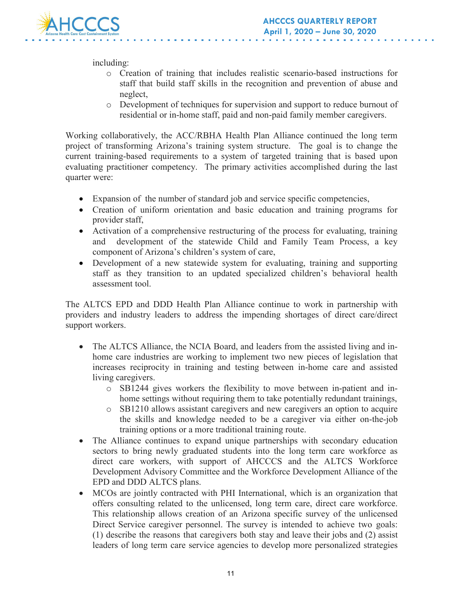

including:

- o Creation of training that includes realistic scenario-based instructions for staff that build staff skills in the recognition and prevention of abuse and neglect,
- o Development of techniques for supervision and support to reduce burnout of residential or in-home staff, paid and non-paid family member caregivers.

Working collaboratively, the ACC/RBHA Health Plan Alliance continued the long term project of transforming Arizona's training system structure. The goal is to change the current training-based requirements to a system of targeted training that is based upon evaluating practitioner competency. The primary activities accomplished during the last quarter were:

- Expansion of the number of standard job and service specific competencies,
- Creation of uniform orientation and basic education and training programs for provider staff,
- Activation of a comprehensive restructuring of the process for evaluating, training and development of the statewide Child and Family Team Process, a key component of Arizona's children's system of care,
- Development of a new statewide system for evaluating, training and supporting staff as they transition to an updated specialized children's behavioral health assessment tool.

The ALTCS EPD and DDD Health Plan Alliance continue to work in partnership with providers and industry leaders to address the impending shortages of direct care/direct support workers.

- The ALTCS Alliance, the NCIA Board, and leaders from the assisted living and inhome care industries are working to implement two new pieces of legislation that increases reciprocity in training and testing between in-home care and assisted living caregivers.
	- o SB1244 gives workers the flexibility to move between in-patient and inhome settings without requiring them to take potentially redundant trainings,
	- o SB1210 allows assistant caregivers and new caregivers an option to acquire the skills and knowledge needed to be a caregiver via either on-the-job training options or a more traditional training route.
- The Alliance continues to expand unique partnerships with secondary education sectors to bring newly graduated students into the long term care workforce as direct care workers, with support of AHCCCS and the ALTCS Workforce Development Advisory Committee and the Workforce Development Alliance of the EPD and DDD ALTCS plans.
- MCOs are jointly contracted with PHI International, which is an organization that offers consulting related to the unlicensed, long term care, direct care workforce. This relationship allows creation of an Arizona specific survey of the unlicensed Direct Service caregiver personnel. The survey is intended to achieve two goals: (1) describe the reasons that caregivers both stay and leave their jobs and (2) assist leaders of long term care service agencies to develop more personalized strategies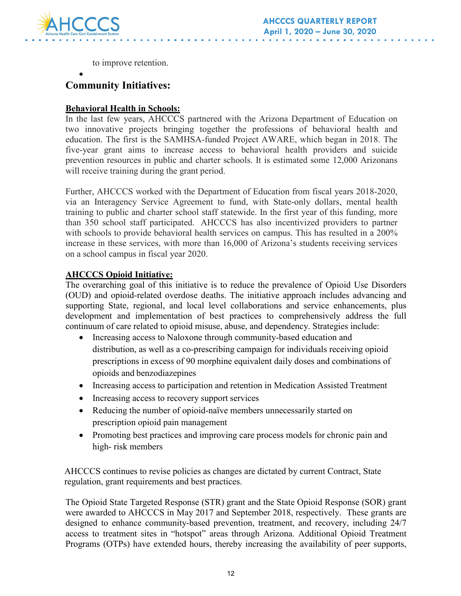

to improve retention.

#### • **Community Initiatives:**

# **Behavioral Health in Schools:**

In the last few years, AHCCCS partnered with the Arizona Department of Education on two innovative projects bringing together the professions of behavioral health and education. The first is the SAMHSA-funded Project AWARE, which began in 2018. The five-year grant aims to increase access to behavioral health providers and suicide prevention resources in public and charter schools. It is estimated some 12,000 Arizonans will receive training during the grant period.

Further, AHCCCS worked with the Department of Education from fiscal years 2018-2020, via an Interagency Service Agreement to fund, with State-only dollars, mental health training to public and charter school staff statewide. In the first year of this funding, more than 350 school staff participated. AHCCCS has also incentivized providers to partner with schools to provide behavioral health services on campus. This has resulted in a 200% increase in these services, with more than 16,000 of Arizona's students receiving services on a school campus in fiscal year 2020.

## **AHCCCS Opioid Initiative:**

The overarching goal of this initiative is to reduce the prevalence of Opioid Use Disorders (OUD) and opioid-related overdose deaths. The initiative approach includes advancing and supporting State, regional, and local level collaborations and service enhancements, plus development and implementation of best practices to comprehensively address the full continuum of care related to opioid misuse, abuse, and dependency. Strategies include:

- Increasing access to Naloxone through community-based education and distribution, as well as a co-prescribing campaign for individuals receiving opioid prescriptions in excess of 90 morphine equivalent daily doses and combinations of opioids and benzodiazepines
- Increasing access to participation and retention in Medication Assisted Treatment
- Increasing access to recovery support services
- Reducing the number of opioid-naïve members unnecessarily started on prescription opioid pain management
- Promoting best practices and improving care process models for chronic pain and high- risk members

AHCCCS continues to revise policies as changes are dictated by current Contract, State regulation, grant requirements and best practices.

The Opioid State Targeted Response (STR) grant and the State Opioid Response (SOR) grant were awarded to AHCCCS in May 2017 and September 2018, respectively. These grants are designed to enhance community-based prevention, treatment, and recovery, including 24/7 access to treatment sites in "hotspot" areas through Arizona. Additional Opioid Treatment Programs (OTPs) have extended hours, thereby increasing the availability of peer supports,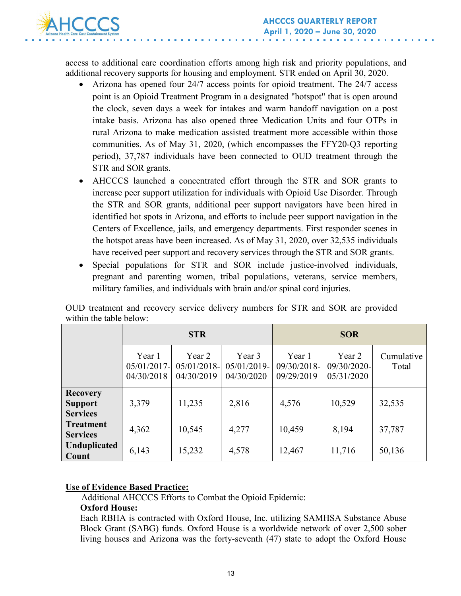

access to additional care coordination efforts among high risk and priority populations, and additional recovery supports for housing and employment. STR ended on April 30, 2020.

- Arizona has opened four 24/7 access points for opioid treatment. The 24/7 access point is an Opioid Treatment Program in a designated "hotspot" that is open around the clock, seven days a week for intakes and warm handoff navigation on a post intake basis. Arizona has also opened three Medication Units and four OTPs in rural Arizona to make medication assisted treatment more accessible within those communities. As of May 31, 2020, (which encompasses the FFY20-Q3 reporting period), 37,787 individuals have been connected to OUD treatment through the STR and SOR grants.
- AHCCCS launched a concentrated effort through the STR and SOR grants to increase peer support utilization for individuals with Opioid Use Disorder. Through the STR and SOR grants, additional peer support navigators have been hired in identified hot spots in Arizona, and efforts to include peer support navigation in the Centers of Excellence, jails, and emergency departments. First responder scenes in the hotspot areas have been increased. As of May 31, 2020, over 32,535 individuals have received peer support and recovery services through the STR and SOR grants.
- Special populations for STR and SOR include justice-involved individuals, pregnant and parenting women, tribal populations, veterans, service members, military families, and individuals with brain and/or spinal cord injuries.

|                                                      | <b>STR</b>                          |                                        | <b>SOR</b>                          |                                     |                                     |                     |
|------------------------------------------------------|-------------------------------------|----------------------------------------|-------------------------------------|-------------------------------------|-------------------------------------|---------------------|
|                                                      | Year 1<br>05/01/2017-<br>04/30/2018 | Year 2<br>$05/01/2018$ -<br>04/30/2019 | Year 3<br>05/01/2019-<br>04/30/2020 | Year 1<br>09/30/2018-<br>09/29/2019 | Year 2<br>09/30/2020-<br>05/31/2020 | Cumulative<br>Total |
| <b>Recovery</b><br><b>Support</b><br><b>Services</b> | 3,379                               | 11,235                                 | 2,816                               | 4,576                               | 10,529                              | 32,535              |
| <b>Treatment</b><br><b>Services</b>                  | 4,362                               | 10,545                                 | 4,277                               | 10,459                              | 8,194                               | 37,787              |
| <b>Unduplicated</b><br>Count                         | 6,143                               | 15,232                                 | 4,578                               | 12,467                              | 11,716                              | 50,136              |

OUD treatment and recovery service delivery numbers for STR and SOR are provided within the table below:

#### **Use of Evidence Based Practice:**

Additional AHCCCS Efforts to Combat the Opioid Epidemic:

#### **Oxford House:**

Each RBHA is contracted with Oxford House, Inc. utilizing SAMHSA Substance Abuse Block Grant (SABG) funds. Oxford House is a worldwide network of over 2,500 sober living houses and Arizona was the forty-seventh (47) state to adopt the Oxford House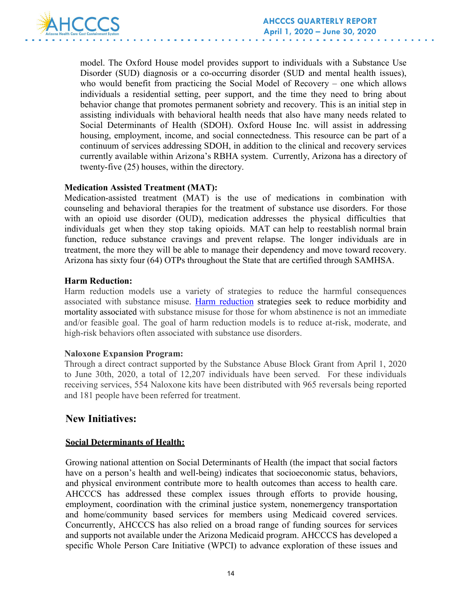

model. The Oxford House model provides support to individuals with a Substance Use Disorder (SUD) diagnosis or a co-occurring disorder (SUD and mental health issues), who would benefit from practicing the Social Model of Recovery – one which allows individuals a residential setting, peer support, and the time they need to bring about behavior change that promotes permanent sobriety and recovery. This is an initial step in assisting individuals with behavioral health needs that also have many needs related to Social Determinants of Health (SDOH). Oxford House Inc. will assist in addressing housing, employment, income, and social connectedness. This resource can be part of a continuum of services addressing SDOH, in addition to the clinical and recovery services currently available within Arizona's RBHA system. Currently, Arizona has a directory of twenty-five (25) houses, within the directory.

#### **Medication Assisted Treatment (MAT):**

Medication-assisted treatment (MAT) is the use of medications in combination with counseling and behavioral therapies for the treatment of substance use disorders. For those with an opioid use disorder (OUD), medication addresses the physical difficulties that individuals get when they stop taking opioids. MAT can help to reestablish normal brain function, reduce substance cravings and prevent relapse. The longer individuals are in treatment, the more they will be able to manage their dependency and move toward recovery. Arizona has sixty four (64) OTPs throughout the State that are certified through SAMHSA.

#### **Harm Reduction:**

Harm reduction models use a variety of strategies to reduce the harmful consequences associated with substance misuse. [Harm reduction](https://www.ncbi.nlm.nih.gov/pmc/articles/PMC2528824/) strategies seek to reduce morbidity and mortality associated with substance misuse for those for whom abstinence is not an immediate and/or feasible goal. The goal of harm reduction models is to reduce at-risk, moderate, and high-risk behaviors often associated with substance use disorders.

#### **Naloxone Expansion Program:**

Through a direct contract supported by the Substance Abuse Block Grant from April 1, 2020 to June 30th, 2020, a total of 12,207 individuals have been served. For these individuals receiving services, 554 Naloxone kits have been distributed with 965 reversals being reported and 181 people have been referred for treatment.

# **New Initiatives:**

## **Social Determinants of Health:**

Growing national attention on Social Determinants of Health (the impact that social factors have on a person's health and well-being) indicates that socioeconomic status, behaviors, and physical environment contribute more to health outcomes than access to health care. AHCCCS has addressed these complex issues through efforts to provide housing, employment, coordination with the criminal justice system, nonemergency transportation and home/community based services for members using Medicaid covered services. Concurrently, AHCCCS has also relied on a broad range of funding sources for services and supports not available under the Arizona Medicaid program. AHCCCS has developed a specific Whole Person Care Initiative (WPCI) to advance exploration of these issues and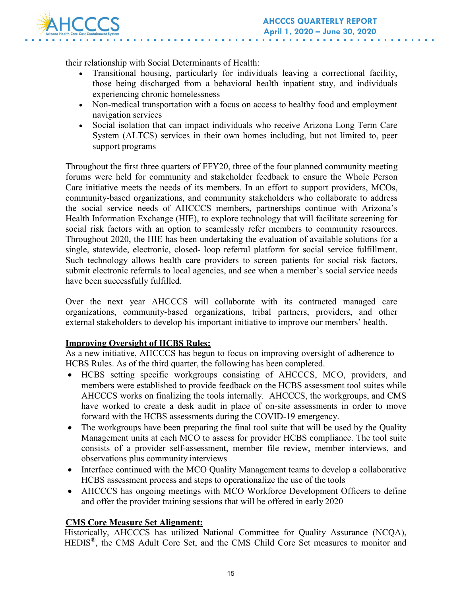

their relationship with Social Determinants of Health:

- Transitional housing, particularly for individuals leaving a correctional facility, those being discharged from a behavioral health inpatient stay, and individuals experiencing chronic homelessness
- Non-medical transportation with a focus on access to healthy food and employment navigation services
- Social isolation that can impact individuals who receive Arizona Long Term Care System (ALTCS) services in their own homes including, but not limited to, peer support programs

Throughout the first three quarters of FFY20, three of the four planned community meeting forums were held for community and stakeholder feedback to ensure the Whole Person Care initiative meets the needs of its members. In an effort to support providers, MCOs, community-based organizations, and community stakeholders who collaborate to address the social service needs of AHCCCS members, partnerships continue with Arizona's Health Information Exchange (HIE), to explore technology that will facilitate screening for social risk factors with an option to seamlessly refer members to community resources. Throughout 2020, the HIE has been undertaking the evaluation of available solutions for a single, statewide, electronic, closed- loop referral platform for social service fulfillment. Such technology allows health care providers to screen patients for social risk factors, submit electronic referrals to local agencies, and see when a member's social service needs have been successfully fulfilled.

Over the next year AHCCCS will collaborate with its contracted managed care organizations, community-based organizations, tribal partners, providers, and other external stakeholders to develop his important initiative to improve our members' health.

## **Improving Oversight of HCBS Rules:**

As a new initiative, AHCCCS has begun to focus on improving oversight of adherence to HCBS Rules. As of the third quarter, the following has been completed.

- HCBS setting specific workgroups consisting of AHCCCS, MCO, providers, and members were established to provide feedback on the HCBS assessment tool suites while AHCCCS works on finalizing the tools internally. AHCCCS, the workgroups, and CMS have worked to create a desk audit in place of on-site assessments in order to move forward with the HCBS assessments during the COVID-19 emergency.
- The workgroups have been preparing the final tool suite that will be used by the Quality Management units at each MCO to assess for provider HCBS compliance. The tool suite consists of a provider self-assessment, member file review, member interviews, and observations plus community interviews
- Interface continued with the MCO Quality Management teams to develop a collaborative HCBS assessment process and steps to operationalize the use of the tools
- AHCCCS has ongoing meetings with MCO Workforce Development Officers to define and offer the provider training sessions that will be offered in early 2020

## **CMS Core Measure Set Alignment:**

Historically, AHCCCS has utilized National Committee for Quality Assurance (NCQA), HEDIS®, the CMS Adult Core Set, and the CMS Child Core Set measures to monitor and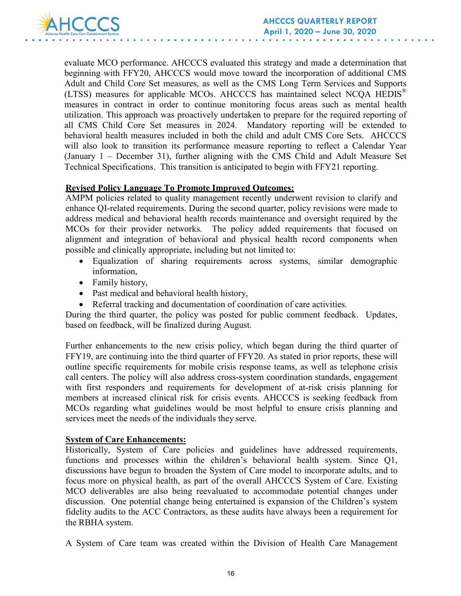

evaluate MCO performance. AHCCCS evaluated this strategy and made a determination that beginning with FFY20, AHCCCS would move toward the incorporation of additional CMS Adult and Child Core Set measures, as well as the CMS Long Term Services and Supports (LTSS) measures for applicable MCOs. AHCCCS has maintained select NCQA HEDIS® measures in contract in order to continue monitoring focus areas such as mental health utilization. This approach was proactively undertaken to prepare for the required reporting of all CMS Child Core Set measures in 2024. Mandatory reporting will be extended to behavioral health measures included in both the child and adult CMS Core Sets. AHCCCS will also look to transition its performance measure reporting to reflect a Calendar Year (January 1 – December 31), further aligning with the CMS Child and Adult Measure Set Technical Specifications. This transition is anticipated to begin with FFY21 reporting.

#### **Revised Policy Language To Promote Improved Outcomes:**

AMPM policies related to quality management recently underwent revision to clarify and enhance QI-related requirements. During the second quarter, policy revisions were made to address medical and behavioral health records maintenance and oversight required by the MCOs for their provider networks. The policy added requirements that focused on alignment and integration of behavioral and physical health record components when possible and clinically appropriate, including but not limited to:

- Equalization of sharing requirements across systems, similar demographic information,
- Family history,
- Past medical and behavioral health history,
- Referral tracking and documentation of coordination of care activities.

During the third quarter, the policy was posted for public comment feedback. Updates, based on feedback, will be finalized during August.

Further enhancements to the new crisis policy, which began during the third quarter of FFY19, are continuing into the third quarter of FFY20. As stated in prior reports, these will outline specific requirements for mobile crisis response teams, as well as telephone crisis call centers. The policy will also address cross-system coordination standards, engagement with first responders and requirements for development of at-risk crisis planning for members at increased clinical risk for crisis events. AHCCCS is seeking feedback from MCOs regarding what guidelines would be most helpful to ensure crisis planning and services meet the needs of the individuals they serve.

#### **System of Care Enhancements:**

Historically, System of Care policies and guidelines have addressed requirements, functions and processes within the children's behavioral health system. Since Q1, discussions have begun to broaden the System of Care model to incorporate adults, and to focus more on physical health, as part of the overall AHCCCS System of Care. Existing MCO deliverables are also being reevaluated to accommodate potential changes under discussion. One potential change being entertained is expansion of the Children's system fidelity audits to the ACC Contractors, as these audits have always been a requirement for the RBHA system.

A System of Care team was created within the Division of Health Care Management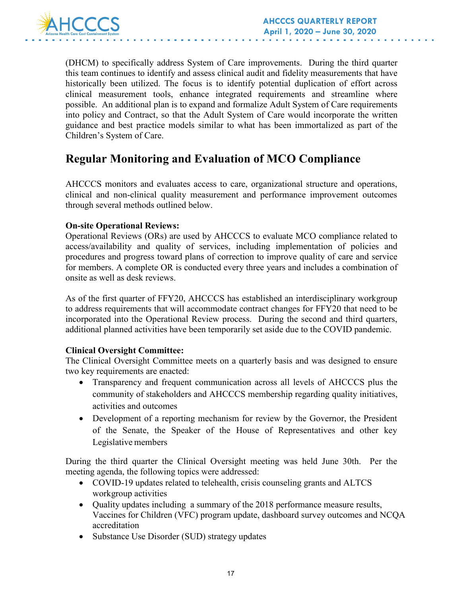

(DHCM) to specifically address System of Care improvements. During the third quarter this team continues to identify and assess clinical audit and fidelity measurements that have historically been utilized. The focus is to identify potential duplication of effort across clinical measurement tools, enhance integrated requirements and streamline where possible. An additional plan is to expand and formalize Adult System of Care requirements into policy and Contract, so that the Adult System of Care would incorporate the written guidance and best practice models similar to what has been immortalized as part of the Children's System of Care.

# **Regular Monitoring and Evaluation of MCO Compliance**

AHCCCS monitors and evaluates access to care, organizational structure and operations, clinical and non-clinical quality measurement and performance improvement outcomes through several methods outlined below.

## **On-site Operational Reviews:**

Operational Reviews (ORs) are used by AHCCCS to evaluate MCO compliance related to access/availability and quality of services, including implementation of policies and procedures and progress toward plans of correction to improve quality of care and service for members. A complete OR is conducted every three years and includes a combination of onsite as well as desk reviews.

As of the first quarter of FFY20, AHCCCS has established an interdisciplinary workgroup to address requirements that will accommodate contract changes for FFY20 that need to be incorporated into the Operational Review process. During the second and third quarters, additional planned activities have been temporarily set aside due to the COVID pandemic.

## **Clinical Oversight Committee:**

The Clinical Oversight Committee meets on a quarterly basis and was designed to ensure two key requirements are enacted:

- Transparency and frequent communication across all levels of AHCCCS plus the community of stakeholders and AHCCCS membership regarding quality initiatives, activities and outcomes
- Development of a reporting mechanism for review by the Governor, the President of the Senate, the Speaker of the House of Representatives and other key Legislative members

During the third quarter the Clinical Oversight meeting was held June 30th. Per the meeting agenda, the following topics were addressed:

- COVID-19 updates related to telehealth, crisis counseling grants and ALTCS workgroup activities
- Quality updates including a summary of the 2018 performance measure results, Vaccines for Children (VFC) program update, dashboard survey outcomes and NCQA accreditation
- Substance Use Disorder (SUD) strategy updates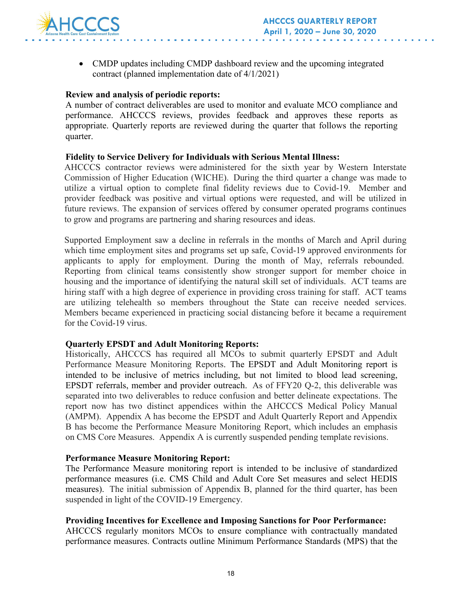

• CMDP updates including CMDP dashboard review and the upcoming integrated contract (planned implementation date of 4/1/2021)

#### **Review and analysis of periodic reports:**

A number of contract deliverables are used to monitor and evaluate MCO compliance and performance. AHCCCS reviews, provides feedback and approves these reports as appropriate. Quarterly reports are reviewed during the quarter that follows the reporting quarter.

#### **Fidelity to Service Delivery for Individuals with Serious Mental Illness:**

AHCCCS contractor reviews were administered for the sixth year by Western Interstate Commission of Higher Education (WICHE). During the third quarter a change was made to utilize a virtual option to complete final fidelity reviews due to Covid-19. Member and provider feedback was positive and virtual options were requested, and will be utilized in future reviews. The expansion of services offered by consumer operated programs continues to grow and programs are partnering and sharing resources and ideas.

Supported Employment saw a decline in referrals in the months of March and April during which time employment sites and programs set up safe, Covid-19 approved environments for applicants to apply for employment. During the month of May, referrals rebounded. Reporting from clinical teams consistently show stronger support for member choice in housing and the importance of identifying the natural skill set of individuals. ACT teams are hiring staff with a high degree of experience in providing cross training for staff. ACT teams are utilizing telehealth so members throughout the State can receive needed services. Members became experienced in practicing social distancing before it became a requirement for the Covid-19 virus.

#### **Quarterly EPSDT and Adult Monitoring Reports:**

Historically, AHCCCS has required all MCOs to submit quarterly EPSDT and Adult Performance Measure Monitoring Reports. The EPSDT and Adult Monitoring report is intended to be inclusive of metrics including, but not limited to blood lead screening, EPSDT referrals, member and provider outreach. As of FFY20 Q-2, this deliverable was separated into two deliverables to reduce confusion and better delineate expectations. The report now has two distinct appendices within the AHCCCS Medical Policy Manual (AMPM). Appendix A has become the EPSDT and Adult Quarterly Report and Appendix B has become the Performance Measure Monitoring Report, which includes an emphasis on CMS Core Measures. Appendix A is currently suspended pending template revisions.

#### **Performance Measure Monitoring Report:**

The Performance Measure monitoring report is intended to be inclusive of standardized performance measures (i.e. CMS Child and Adult Core Set measures and select HEDIS measures). The initial submission of Appendix B, planned for the third quarter, has been suspended in light of the COVID-19 Emergency.

#### **Providing Incentives for Excellence and Imposing Sanctions for Poor Performance:**

AHCCCS regularly monitors MCOs to ensure compliance with contractually mandated performance measures. Contracts outline Minimum Performance Standards (MPS) that the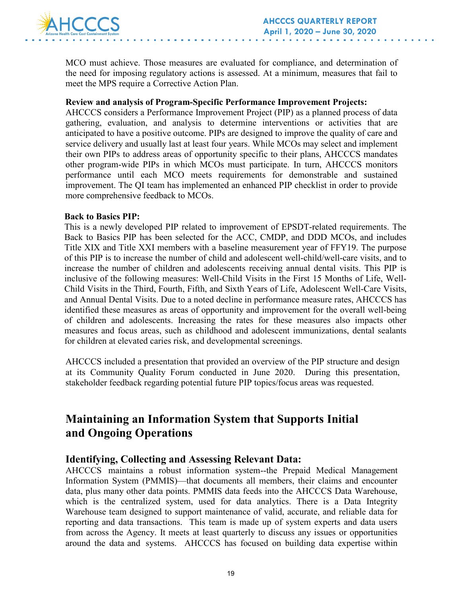

MCO must achieve. Those measures are evaluated for compliance, and determination of the need for imposing regulatory actions is assessed. At a minimum, measures that fail to meet the MPS require a Corrective Action Plan.

#### **Review and analysis of Program-Specific Performance Improvement Projects:**

AHCCCS considers a Performance Improvement Project (PIP) as a planned process of data gathering, evaluation, and analysis to determine interventions or activities that are anticipated to have a positive outcome. PIPs are designed to improve the quality of care and service delivery and usually last at least four years. While MCOs may select and implement their own PIPs to address areas of opportunity specific to their plans, AHCCCS mandates other program-wide PIPs in which MCOs must participate. In turn, AHCCCS monitors performance until each MCO meets requirements for demonstrable and sustained improvement. The QI team has implemented an enhanced PIP checklist in order to provide more comprehensive feedback to MCOs.

#### **Back to Basics PIP:**

This is a newly developed PIP related to improvement of EPSDT-related requirements. The Back to Basics PIP has been selected for the ACC, CMDP, and DDD MCOs, and includes Title XIX and Title XXI members with a baseline measurement year of FFY19. The purpose of this PIP is to increase the number of child and adolescent well-child/well-care visits, and to increase the number of children and adolescents receiving annual dental visits. This PIP is inclusive of the following measures: Well-Child Visits in the First 15 Months of Life, Well-Child Visits in the Third, Fourth, Fifth, and Sixth Years of Life, Adolescent Well-Care Visits, and Annual Dental Visits. Due to a noted decline in performance measure rates, AHCCCS has identified these measures as areas of opportunity and improvement for the overall well-being of children and adolescents. Increasing the rates for these measures also impacts other measures and focus areas, such as childhood and adolescent immunizations, dental sealants for children at elevated caries risk, and developmental screenings.

AHCCCS included a presentation that provided an overview of the PIP structure and design at its Community Quality Forum conducted in June 2020. During this presentation, stakeholder feedback regarding potential future PIP topics/focus areas was requested.

# **Maintaining an Information System that Supports Initial and Ongoing Operations**

## **Identifying, Collecting and Assessing Relevant Data:**

AHCCCS maintains a robust information system--the Prepaid Medical Management Information System (PMMIS)—that documents all members, their claims and encounter data, plus many other data points. PMMIS data feeds into the AHCCCS Data Warehouse, which is the centralized system, used for data analytics. There is a Data Integrity Warehouse team designed to support maintenance of valid, accurate, and reliable data for reporting and data transactions. This team is made up of system experts and data users from across the Agency. It meets at least quarterly to discuss any issues or opportunities around the data and systems. AHCCCS has focused on building data expertise within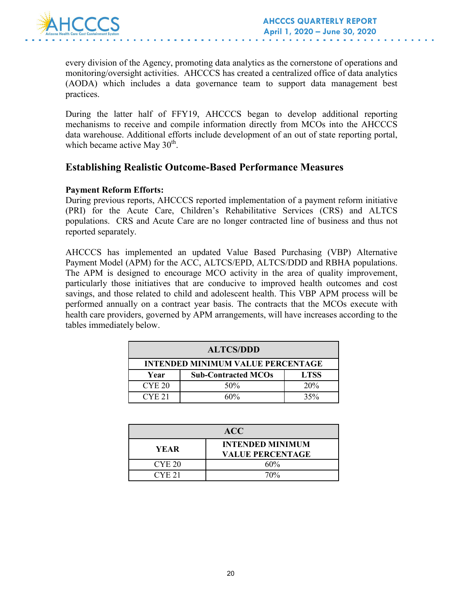

every division of the Agency, promoting data analytics as the cornerstone of operations and monitoring/oversight activities. AHCCCS has created a centralized office of data analytics (AODA) which includes a data governance team to support data management best practices.

During the latter half of FFY19, AHCCCS began to develop additional reporting mechanisms to receive and compile information directly from MCOs into the AHCCCS data warehouse. Additional efforts include development of an out of state reporting portal, which became active May  $30<sup>th</sup>$ .

# **Establishing Realistic Outcome-Based Performance Measures**

#### **Payment Reform Efforts:**

During previous reports, AHCCCS reported implementation of a payment reform initiative (PRI) for the Acute Care, Children's Rehabilitative Services (CRS) and ALTCS populations. CRS and Acute Care are no longer contracted line of business and thus not reported separately.

AHCCCS has implemented an updated Value Based Purchasing (VBP) Alternative Payment Model (APM) for the ACC, ALTCS/EPD, ALTCS/DDD and RBHA populations. The APM is designed to encourage MCO activity in the area of quality improvement, particularly those initiatives that are conducive to improved health outcomes and cost savings, and those related to child and adolescent health. This VBP APM process will be performed annually on a contract year basis. The contracts that the MCOs execute with health care providers, governed by APM arrangements, will have increases according to the tables immediately below.

| <b>ALTCS/DDD</b>                         |                            |             |  |  |
|------------------------------------------|----------------------------|-------------|--|--|
| <b>INTENDED MINIMUM VALUE PERCENTAGE</b> |                            |             |  |  |
| Year                                     | <b>Sub-Contracted MCOs</b> | <b>LTSS</b> |  |  |
| <b>CYE 20</b>                            | 50%                        | 20%         |  |  |
| CYF.21                                   | ናበ%                        | 35%         |  |  |

| <b>ACC</b>        |                                                    |  |  |
|-------------------|----------------------------------------------------|--|--|
| YEAR              | <b>INTENDED MINIMUM</b><br><b>VALUE PERCENTAGE</b> |  |  |
| CYE <sub>20</sub> | 60%                                                |  |  |
| CYF.21            | 70%                                                |  |  |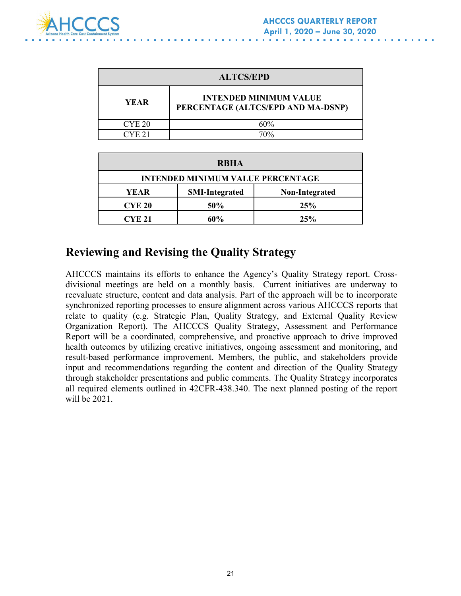

| <b>ALTCS/EPD</b>  |                                                                     |  |
|-------------------|---------------------------------------------------------------------|--|
| <b>YEAR</b>       | <b>INTENDED MINIMUM VALUE</b><br>PERCENTAGE (ALTCS/EPD AND MA-DSNP) |  |
| CYE <sub>20</sub> | 60%                                                                 |  |
| CYE.21            | 70%                                                                 |  |

| <b>RBHA</b>                              |                       |                |  |  |
|------------------------------------------|-----------------------|----------------|--|--|
| <b>INTENDED MINIMUM VALUE PERCENTAGE</b> |                       |                |  |  |
| <b>YEAR</b>                              | <b>SMI-Integrated</b> | Non-Integrated |  |  |
| <b>CYE 20</b>                            | 50%                   | 25%            |  |  |
| <b>CYE 21</b>                            | 60%                   | 25%            |  |  |

# **Reviewing and Revising the Quality Strategy**

AHCCCS maintains its efforts to enhance the Agency's Quality Strategy report. Crossdivisional meetings are held on a monthly basis. Current initiatives are underway to reevaluate structure, content and data analysis. Part of the approach will be to incorporate synchronized reporting processes to ensure alignment across various AHCCCS reports that relate to quality (e.g. Strategic Plan, Quality Strategy, and External Quality Review Organization Report). The AHCCCS Quality Strategy, Assessment and Performance Report will be a coordinated, comprehensive, and proactive approach to drive improved health outcomes by utilizing creative initiatives, ongoing assessment and monitoring, and result-based performance improvement. Members, the public, and stakeholders provide input and recommendations regarding the content and direction of the Quality Strategy through stakeholder presentations and public comments. The Quality Strategy incorporates all required elements outlined in 42CFR-438.340. The next planned posting of the report will be 2021.